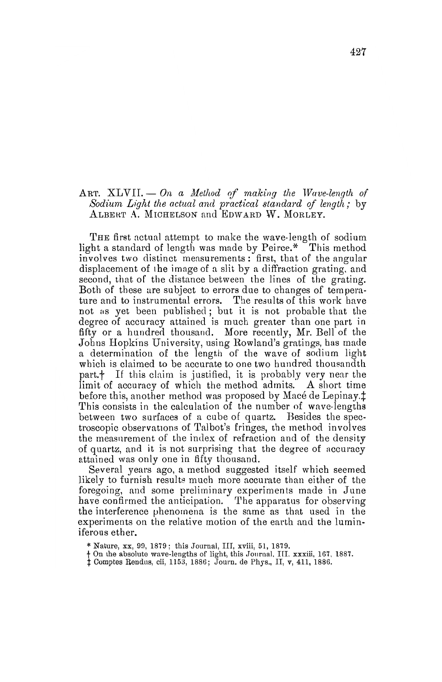## ART.  $XLVII$ ,  $\leftarrow$  *On a Method of making the Wave-length of Sodium, Light the actual and practical 8tandard of length,.* by ALBERT A. MICHELSON and EDWARD W. MORLEY.

THE first actual attempt to make the wave-length of sodium light a standard of length was made by Peirce.\* This method involves two distinct measurements: first, that of the angular displacement of the image of a slit by a diffraction grating. and second, that of the distance between the lines of the grating. Both of these are subject to errors due to changes of temperature and to instrumental errors. The results of this work have not as yet been published; but it is not probable that the degree of accuracy attained is much greater than one part in fifty or a hundred thousand. More recently, Mr. Bell of the Johns Hopkins University, using Rowland's gratings, has made a determination of the length of the wave of sodium light which is claimed to be accurate to one two hundred thousandth part.<sup>†</sup> If this claim is justified, it is probably very near the limit of accuracy of which the method admits. A short time before this, another method was proposed by Macé de Lepinay. $\ddagger$ This consists in the calculation of the number of wave-lengths between two surfaces of a cube of quartz. Besides the spectroscopic observations of Talbot's fringes, the method involves the measnrement of the index of refraction and of the density of quartz, and it is not surprising that the degree of accuracy attained was only one in fifty thousand.

Several years ago, a method suggested itself which seemed likely to furnish results much more accurate than either of the foregoing, and some preliminary experiments made in June have confirmed the anticipation. The apparatus for observing the interference phenomena is the same as that used in the experiments on the relative motion of the earth and the luminiferous ether.

\* Nature, xx, 99, 1879; this Journal, III, xviii, 51, 1879.

- t Con the absolute wave-lengths of light, this Journal, III. xxxiii, 167, 1887.<br>
: Comptes Rendus, cii, 1153, 1886; Journ. de Phys., II, v, 411, 1886.
-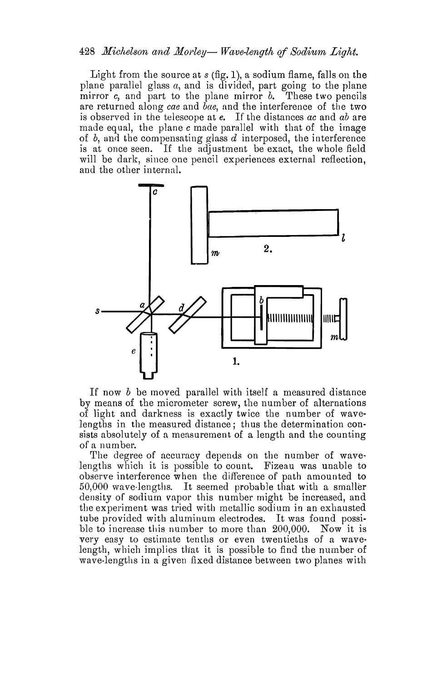## 428 *Michelson and Morley*— *Wave-length of Sodium Light.*

Light from the source at s (fig. 1), a sodium flame, falls on the plane parallel glass *a*, and is divided, part going to the plane mirror c, and part to the plane mirror *b*. These two pencils are returned along *cae* and *bae,* and the interference of the two is observed in the telescope at *e.* If the distances *ac* and *ab* are made equal, the plane c made parallel with that of the image of *b,* and the compensating glass *d* interposed, the interference is at once seen. If the adjustment be exact, the whole field will be dark, since one pencil experiences external reflection, and the other internal.



If now *b* be moved parallel with itself a measured distance by means of the micrometer screw, the number of alternations of light and darkness is exactly twice the number of wavelengths in the measured distance; thus the determination consists absolutely of a measurement of a length and the counting of a number.

The degree of accuracy depends on the number of wavelengths which it is possible to count. Fizeau was unable to observe interference when the difference of path amounted to 50,000 wave· lengths. It seemed probable that with a smaller density of sodium vapor this number might be increased, and the experiment was tried with metallic sodium in an exhausted tube provided with aluminum electrodes. It was found possible to increase this number to more than 200,000. Now it is very easy to estimate tenths or even twentieths of a wavelength, which implies that it is possible to find the number of wave-lengths in a given fixed distance between two planes with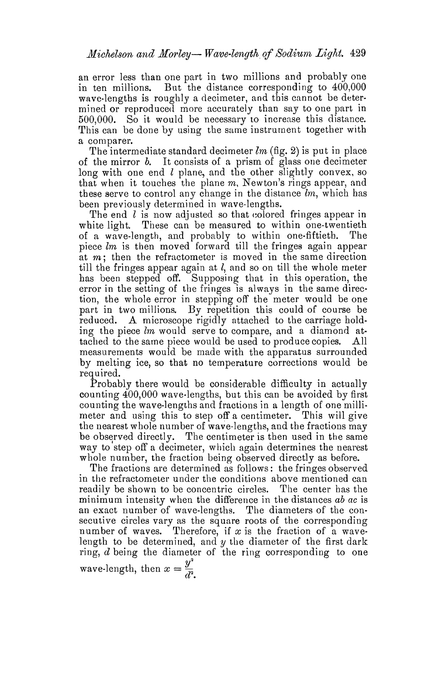an error less than one part in two millions and probably one in ten millions. But the distance corresponding to 400,000 wave.lengths is roughly a decimeter, and this cannot be deter· mined or reproduced more accurately than say to one part in 500,000. So it would be necessary to increase this distance. This can be done by using the same instrument together with a comparer.

The intermediate standard decimeter *lm* (fig. 2) is put in place of the mirror *b.* It consists of a prism of glass one decimeter long with one end  $l$  plane, and the other slightly convex, so that when it touches the plane *m,* Newton's rings appear, and these serve to control any change in the distance *lm,* which has been previously determined in wave-lengths.

The end *l* is now adjusted so that colored fringes appear in white light. These can be measured to within one-twentieth of a wave-length, and probably to within one-fiftieth. The piece *lm* is then moved forward till the fringes again appear at  $m$ ; then the refractometer is moved in the same direction till the fringes appear again at  $l$ , and so on till the whole meter has been stepped off. Supposing that in this operation, the error in the setting of the fringes is always in the same direction, the whole error in stepping off the meter would be one part in two millions. By repetition this could of course be reduced. A microscope rigidly attached to the carriage holding the piece *lm* would serve to compare, and a diamond at· tached to the same piece would be used to produce copies. All measurements would be made with the apparatus surrounded by melting ice, so that no temperature corrections would be required.

Probably there would be considerable difficulty in actually counting 400,000 wave·lengths, but this can be avoided by first counting the wave-lengths and fractions in a length of one millimeter and using this to step off a centimeter. This will give the nearest whole number of wave-lengths, and the fractions may be observed directly. The centimeter is then used in the same way to step off a decimeter, which again determines the nearest whole number, the fraction being observed directly as before.

The fractions are determined as follows: the fringes observed in the refractometer under the conditions above mentioned can readily be shown to be concentric circles. The center has the minimum intensity when the difference in tbe distances *ab ac* is an exact number of wave-lengths. The diameters of the consecutive circles vary as the square roots of the corresponding number of waves. Therefore, if  $x$  is the fraction of a wavelength to be determined, and *y* the diameter of the first dark ring, *d* being the diameter of the ring corresponding to one wave-length, then  $x = \frac{y^2}{d^2}$